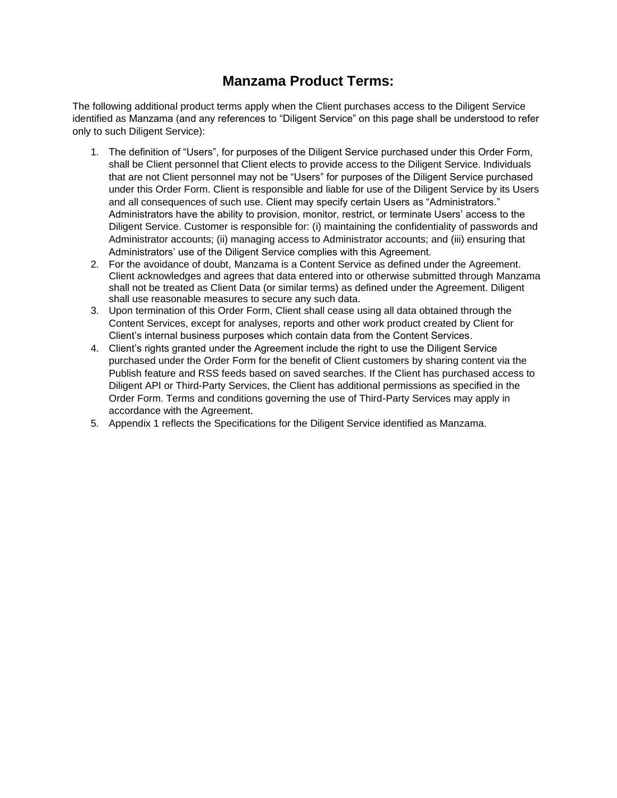## **Manzama Product Terms:**

The following additional product terms apply when the Client purchases access to the Diligent Service identified as Manzama (and any references to "Diligent Service" on this page shall be understood to refer only to such Diligent Service):

- 1. The definition of "Users", for purposes of the Diligent Service purchased under this Order Form, shall be Client personnel that Client elects to provide access to the Diligent Service. Individuals that are not Client personnel may not be "Users" for purposes of the Diligent Service purchased under this Order Form. Client is responsible and liable for use of the Diligent Service by its Users and all consequences of such use. Client may specify certain Users as "Administrators." Administrators have the ability to provision, monitor, restrict, or terminate Users' access to the Diligent Service. Customer is responsible for: (i) maintaining the confidentiality of passwords and Administrator accounts; (ii) managing access to Administrator accounts; and (iii) ensuring that Administrators' use of the Diligent Service complies with this Agreement.
- 2. For the avoidance of doubt, Manzama is a Content Service as defined under the Agreement. Client acknowledges and agrees that data entered into or otherwise submitted through Manzama shall not be treated as Client Data (or similar terms) as defined under the Agreement. Diligent shall use reasonable measures to secure any such data.
- 3. Upon termination of this Order Form, Client shall cease using all data obtained through the Content Services, except for analyses, reports and other work product created by Client for Client's internal business purposes which contain data from the Content Services.
- 4. Client's rights granted under the Agreement include the right to use the Diligent Service purchased under the Order Form for the benefit of Client customers by sharing content via the Publish feature and RSS feeds based on saved searches. If the Client has purchased access to Diligent API or Third-Party Services, the Client has additional permissions as specified in the Order Form. Terms and conditions governing the use of Third-Party Services may apply in accordance with the Agreement.
- 5. Appendix 1 reflects the Specifications for the Diligent Service identified as Manzama.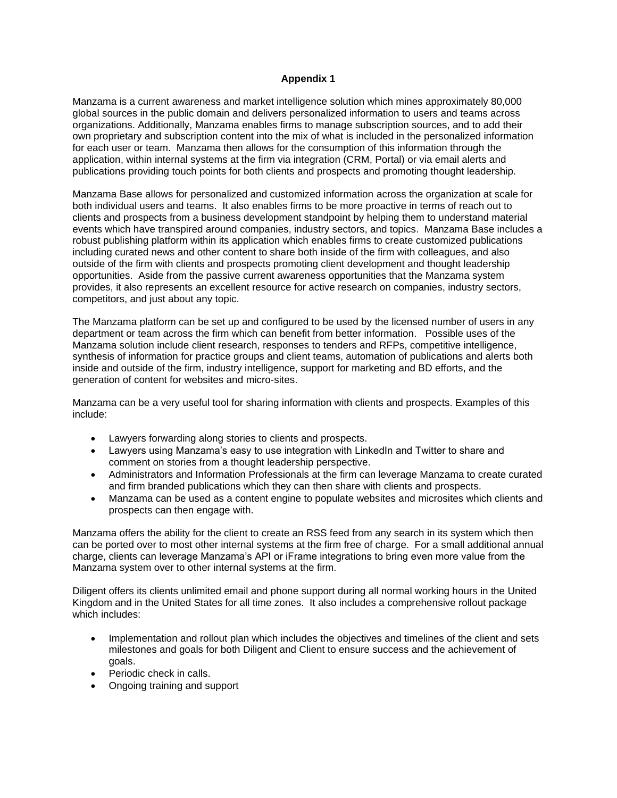## **Appendix 1**

Manzama is a current awareness and market intelligence solution which mines approximately 80,000 global sources in the public domain and delivers personalized information to users and teams across organizations. Additionally, Manzama enables firms to manage subscription sources, and to add their own proprietary and subscription content into the mix of what is included in the personalized information for each user or team. Manzama then allows for the consumption of this information through the application, within internal systems at the firm via integration (CRM, Portal) or via email alerts and publications providing touch points for both clients and prospects and promoting thought leadership.

Manzama Base allows for personalized and customized information across the organization at scale for both individual users and teams. It also enables firms to be more proactive in terms of reach out to clients and prospects from a business development standpoint by helping them to understand material events which have transpired around companies, industry sectors, and topics. Manzama Base includes a robust publishing platform within its application which enables firms to create customized publications including curated news and other content to share both inside of the firm with colleagues, and also outside of the firm with clients and prospects promoting client development and thought leadership opportunities. Aside from the passive current awareness opportunities that the Manzama system provides, it also represents an excellent resource for active research on companies, industry sectors, competitors, and just about any topic.

The Manzama platform can be set up and configured to be used by the licensed number of users in any department or team across the firm which can benefit from better information. Possible uses of the Manzama solution include client research, responses to tenders and RFPs, competitive intelligence, synthesis of information for practice groups and client teams, automation of publications and alerts both inside and outside of the firm, industry intelligence, support for marketing and BD efforts, and the generation of content for websites and micro-sites.

Manzama can be a very useful tool for sharing information with clients and prospects. Examples of this include:

- Lawyers forwarding along stories to clients and prospects.
- Lawyers using Manzama's easy to use integration with LinkedIn and Twitter to share and comment on stories from a thought leadership perspective.
- Administrators and Information Professionals at the firm can leverage Manzama to create curated and firm branded publications which they can then share with clients and prospects.
- Manzama can be used as a content engine to populate websites and microsites which clients and prospects can then engage with.

Manzama offers the ability for the client to create an RSS feed from any search in its system which then can be ported over to most other internal systems at the firm free of charge. For a small additional annual charge, clients can leverage Manzama's API or iFrame integrations to bring even more value from the Manzama system over to other internal systems at the firm.

Diligent offers its clients unlimited email and phone support during all normal working hours in the United Kingdom and in the United States for all time zones. It also includes a comprehensive rollout package which includes:

- Implementation and rollout plan which includes the objectives and timelines of the client and sets milestones and goals for both Diligent and Client to ensure success and the achievement of goals.
- Periodic check in calls.
- Ongoing training and support